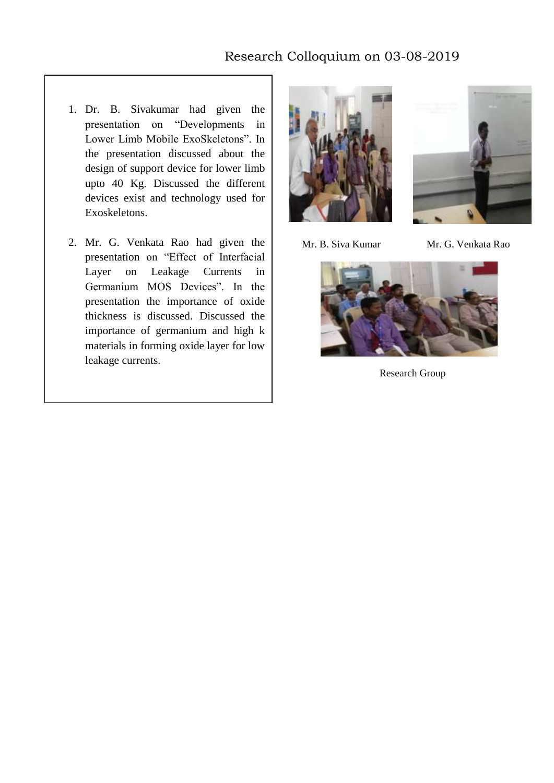## Research Colloquium on 03-08-2019

- 1. Dr. B. Sivakumar had given the presentation on "Developments in Lower Limb Mobile ExoSkeletons". In the presentation discussed about the design of support device for lower limb upto 40 Kg. Discussed the different devices exist and technology used for Exoskeletons.
- 2. Mr. G. Venkata Rao had given the presentation on "Effect of Interfacial Layer on Leakage Currents in Germanium MOS Devices". In the presentation the importance of oxide thickness is discussed. Discussed the importance of germanium and high k materials in forming oxide layer for low leakage currents.





Mr. B. Siva Kumar Mr. G. Venkata Rao



Research Group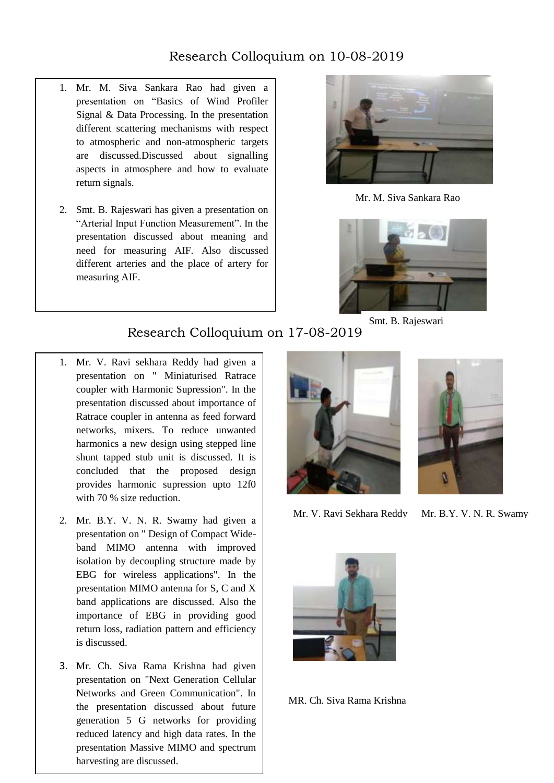## Research Colloquium on 10-08-2019

- 1. Mr. M. Siva Sankara Rao had given a presentation on "Basics of Wind Profiler Signal & Data Processing. In the presentation different scattering mechanisms with respect to atmospheric and non-atmospheric targets are discussed.Discussed about signalling aspects in atmosphere and how to evaluate return signals.
- 2. Smt. B. Rajeswari has given a presentation on "Arterial Input Function Measurement". In the presentation discussed about meaning and need for measuring AIF. Also discussed different arteries and the place of artery for measuring AIF.



Mr. M. Siva Sankara Rao



Smt. B. Rajeswari

## Research Colloquium on 17-08-2019

- 1. Mr. V. Ravi sekhara Reddy had given a presentation on " Miniaturised Ratrace coupler with Harmonic Supression". In the presentation discussed about importance of Ratrace coupler in antenna as feed forward networks, mixers. To reduce unwanted harmonics a new design using stepped line shunt tapped stub unit is discussed. It is concluded that the proposed design provides harmonic supression upto 12f0 with 70 % size reduction.
- 2. Mr. B.Y. V. N. R. Swamy had given a presentation on " Design of Compact Wideband MIMO antenna with improved isolation by decoupling structure made by EBG for wireless applications". In the presentation MIMO antenna for S, C and X band applications are discussed. Also the importance of EBG in providing good return loss, radiation pattern and efficiency is discussed.
- 3. Mr. Ch. Siva Rama Krishna had given presentation on "Next Generation Cellular Networks and Green Communication". In the presentation discussed about future generation 5 G networks for providing reduced latency and high data rates. In the presentation Massive MIMO and spectrum harvesting are discussed.





Mr. V. Ravi Sekhara Reddy Mr. B.Y. V. N. R. Swamy



MR. Ch. Siva Rama Krishna